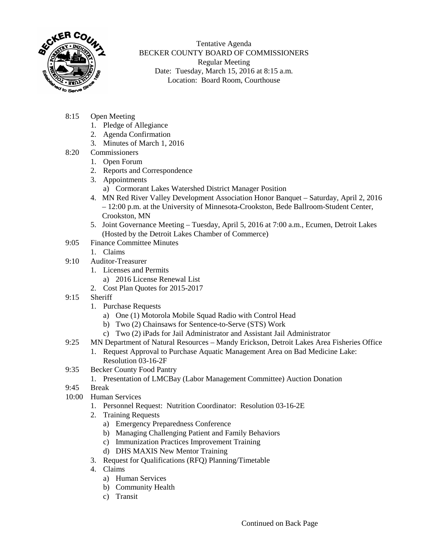

Tentative Agenda BECKER COUNTY BOARD OF COMMISSIONERS Regular Meeting Date: Tuesday, March 15, 2016 at 8:15 a.m. Location: Board Room, Courthouse

- 8:15 Open Meeting
	- 1. Pledge of Allegiance
	- 2. Agenda Confirmation
	- 3. Minutes of March 1, 2016
- 8:20 Commissioners
	- 1. Open Forum
	- 2. Reports and Correspondence
	- 3. Appointments
		- a) Cormorant Lakes Watershed District Manager Position
	- 4. MN Red River Valley Development Association Honor Banquet Saturday, April 2, 2016 – 12:00 p.m. at the University of Minnesota-Crookston, Bede Ballroom-Student Center, Crookston, MN
	- 5. Joint Governance Meeting Tuesday, April 5, 2016 at 7:00 a.m., Ecumen, Detroit Lakes (Hosted by the Detroit Lakes Chamber of Commerce)
- 9:05 Finance Committee Minutes
	- 1. Claims
- 9:10 Auditor-Treasurer
	- 1. Licenses and Permits
		- a) 2016 License Renewal List
	- 2. Cost Plan Quotes for 2015-2017
- 9:15 Sheriff
	- 1. Purchase Requests
		- a) One (1) Motorola Mobile Squad Radio with Control Head
		- b) Two (2) Chainsaws for Sentence-to-Serve (STS) Work
		- c) Two (2) iPads for Jail Administrator and Assistant Jail Administrator
- 9:25 MN Department of Natural Resources Mandy Erickson, Detroit Lakes Area Fisheries Office
	- 1. Request Approval to Purchase Aquatic Management Area on Bad Medicine Lake: Resolution 03-16-2F
- 9:35 Becker County Food Pantry
	- 1. Presentation of LMCBay (Labor Management Committee) Auction Donation
- 9:45 Break
- 10:00 Human Services
	- 1. Personnel Request: Nutrition Coordinator: Resolution 03-16-2E
	- 2. Training Requests
		- a) Emergency Preparedness Conference
		- b) Managing Challenging Patient and Family Behaviors
		- c) Immunization Practices Improvement Training
		- d) DHS MAXIS New Mentor Training
	- 3. Request for Qualifications (RFQ) Planning/Timetable
	- 4. Claims
		- a) Human Services
		- b) Community Health
		- c) Transit